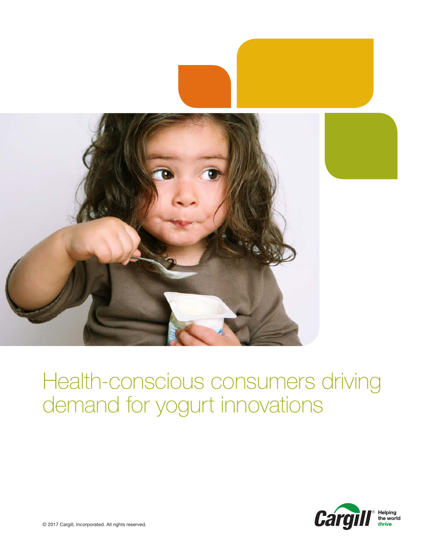

# Health-conscious consumers driving demand for yogurt innovations

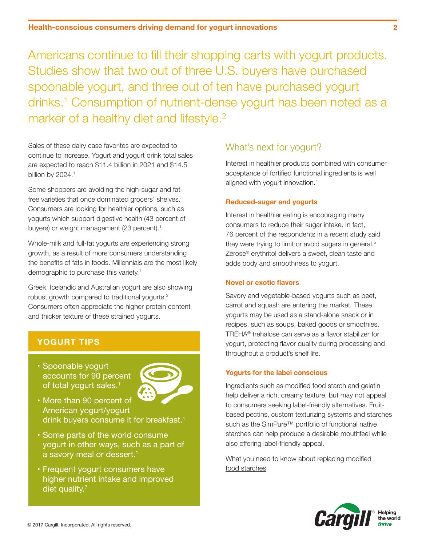Americans continue to fill their shopping carts with yogurt products. Studies show that two out of three U.S. buyers have purchased spoonable yogurt, and three out of ten have purchased yogurt drinks.1 Consumption of nutrient-dense yogurt has been noted as a marker of a healthy diet and lifestyle.<sup>2</sup>

Sales of these dairy case favorites are expected to continue to increase. Yogurt and yogurt drink total sales are expected to reach \$11.4 billion in 2021 and \$14.5 billion by 2024.<sup>1</sup>

Some shoppers are avoiding the high-sugar and fatfree varieties that once dominated grocers' shelves. Consumers are looking for healthier options, such as yogurts which support digestive health (43 percent of buyers) or weight management (23 percent).<sup>1</sup>

Whole-milk and full-fat yogurts are experiencing strong growth, as a result of more consumers understanding the benefits of fats in foods. Millennials are the most likely demographic to purchase this variety.<sup>1</sup>

Greek, Icelandic and Australian yogurt are also showing robust growth compared to traditional yogurts.<sup>3</sup> Consumers often appreciate the higher protein content and thicker texture of these strained yogurts.

## **YOGURT TIPS**

• Spoonable yogurt accounts for 90 percent of total yogurt sales.<sup>1</sup>



- • More than 90 percent of American yogurt/yogurt drink buyers consume it for breakfast.<sup>1</sup>
- • Some parts of the world consume yogurt in other ways, such as a part of a savory meal or dessert.<sup>1</sup>
- • Frequent yogurt consumers have higher nutrient intake and improved diet quality. $<sup>7</sup>$ </sup>

### What's next for yogurt?

Interest in healthier products combined with consumer acceptance of fortified functional ingredients is well aligned with yogurt innovation.4

#### **Reduced-sugar and yogurts**

Interest in healthier eating is encouraging many consumers to reduce their sugar intake. In fact, 76 percent of the respondents in a recent study said they were trying to limit or avoid sugars in general.<sup>5</sup> Zerose® erythritol delivers a sweet, clean taste and adds body and smoothness to yogurt.

#### **Novel or exotic flavors**

Savory and vegetable-based yogurts such as beet, carrot and squash are entering the market. These yogurts may be used as a stand-alone snack or in recipes, such as soups, baked goods or smoothies. TREHA® trehalose can serve as a flavor stabilizer for yogurt, protecting flavor quality during processing and throughout a product's shelf life.

#### **Yogurts for the label conscious**

Ingredients such as modified food starch and gelatin help deliver a rich, creamy texture, but may not appeal to consumers seeking label-friendly alternatives. Fruitbased pectins, custom texturizing systems and starches such as the SimPure™ portfolio of functional native starches can help produce a desirable mouthfeel while also offering label-friendly appeal.

[What you need to know about replacing modified](https://www.cargill.com/doc/1432087943621/replacing-modified-starches-q-and-a.PDF)  [food starches](https://www.cargill.com/doc/1432087943621/replacing-modified-starches-q-and-a.PDF)